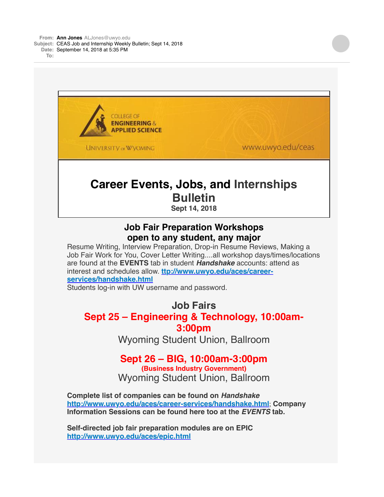

Resume Writing, Interview Preparation, Drop-in Resume Reviews, Making a Job Fair Work for You, Cover Letter Writing....all workshop days/times/locations are found at the **EVENTS** tab in student *Handshake* accounts: attend as interest and schedules allow. **[ttp://www.uwyo.edu/aces/career](http://www.uwyo.edu/aces/career-services/handshake.html)services/handshake.html**

Students log-in with UW username and password.

## **Job Fairs Sept 25 – Engineering & Technology, 10:00am-3:00pm**

Wyoming Student Union, Ballroom

## **Sept 26 – BIG, 10:00am-3:00pm**

**(Business Industry Government)** Wyoming Student Union, Ballroom

**Complete list of companies can be found on** *Handshake* **<http://www.uwyo.edu/aces/career-services/handshake.html>**; **Company Information Sessions can be found here too at the** *EVENTS* **tab.**

**Self-directed job fair preparation modules are on EPIC <http://www.uwyo.edu/aces/epic.html>**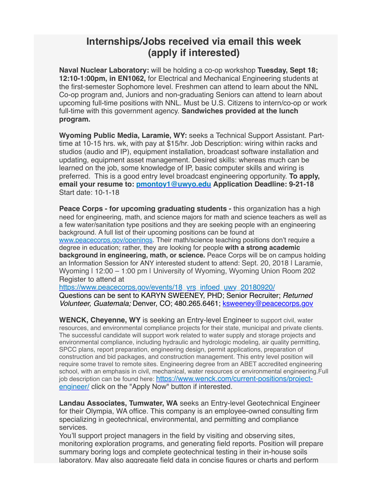## **Internships/Jobs received via email this week (apply if interested)**

**Naval Nuclear Laboratory:** will be holding a co-op workshop **Tuesday, Sept 18; 12:10-1:00pm, in EN1062,** for Electrical and Mechanical Engineering students at the first-semester Sophomore level. Freshmen can attend to learn about the NNL Co-op program and, Juniors and non-graduating Seniors can attend to learn about upcoming full-time positions with NNL. Must be U.S. Citizens to intern/co-op or work full-time with this government agency. **Sandwiches provided at the lunch program.**

**Wyoming Public Media, Laramie, WY:** seeks a Technical Support Assistant. Parttime at 10-15 hrs. wk, with pay at \$15/hr. Job Description: wiring within racks and studios (audio and IP), equipment installation, broadcast software installation and updating, equipment asset management. Desired skills: whereas much can be learned on the job, some knowledge of IP, basic computer skills and wiring is preferred. This is a good entry level broadcast engineering opportunity. **To apply, email your resume to: [pmontoy1@uwyo.edu](mailto:pmontoy1@uwyo.edu) Application Deadline: 9-21-18** Start date: 10-1-18

**Peace Corps - for upcoming graduating students -** this organization has a high need for engineering, math, and science majors for math and science teachers as well as a few water/sanitation type positions and they are seeking people with an engineering background. A full list of their upcoming positions can be found at [www.peacecorps.gov/openings](http://www.peacecorps.gov/openings). Their math/science teaching positions don't require a degree in education; rather, they are looking for people **with a strong academic background in engineering, math, or science.** Peace Corps will be on campus holding an Information Session for ANY interested student to attend: Sept. 20, 2018 | Laramie, Wyoming | 12:00 – 1:00 pm | University of Wyoming, Wyoming Union Room 202 Register to attend at

[https://www.peacecorps.gov/events/18\\_vrs\\_infoed\\_uwy\\_20180920/](https://www.peacecorps.gov/events/18_vrs_infoed_uwy_20180920/)

Questions can be sent to KARYN SWEENEY, PHD; Senior Recruiter; *Returned Volunteer, Guatemala;* Denver, CO; 480.265.6461; [ksweeney@peacecorps.gov](mailto:ksweeney@peacecorps.gov)

**WENCK, Cheyenne, WY** is seeking an Entry-level Engineer to support civil, water resources, and environmental compliance projects for their state, municipal and private clients. The successful candidate will support work related to water supply and storage projects and environmental compliance, including hydraulic and hydrologic modeling, air quality permitting, SPCC plans, report preparation, engineering design, permit applications, preparation of construction and bid packages, and construction management. This entry level position will require some travel to remote sites. Engineering degree from an ABET accredited engineering school, with an emphasis in civil, mechanical, water resources or environmental engineering.Full [job description can be found here: https://www.wenck.com/current-positions/project](https://www.wenck.com/current-positions/project-engineer/)engineer/ click on the "Apply Now" button if interested.

**Landau Associates, Tumwater, WA** seeks an Entry-level Geotechnical Engineer for their Olympia, WA office. This company is an employee-owned consulting firm specializing in geotechnical, environmental, and permitting and compliance services.

You'll support project managers in the field by visiting and observing sites, monitoring exploration programs, and generating field reports. Position will prepare summary boring logs and complete geotechnical testing in their in-house soils laboratory. May also aggregate field data in concise figures or charts and perform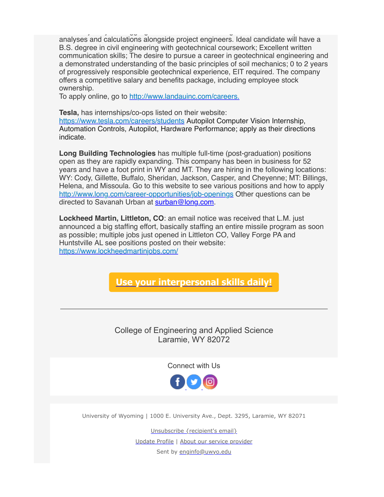laboratory. May also aggregate field data in concise figures or charts and perform analyses and calculations alongside project engineers. Ideal candidate will have a B.S. degree in civil engineering with geotechnical coursework; Excellent written communication skills; The desire to pursue a career in geotechnical engineering and a demonstrated understanding of the basic principles of soil mechanics; 0 to 2 years of progressively responsible geotechnical experience, EIT required. The company offers a competitive salary and benefits package, including employee stock ownership.

To apply online, go to<http://www.landauinc.com/careers.>

**Tesla,** has internships/co-ops listed on their website:

<https://www.tesla.com/careers/students> Autopilot Computer Vision Internship, Automation Controls, Autopilot, Hardware Performance; apply as their directions indicate.

**Long Building Technologies** has multiple full-time (post-graduation) positions open as they are rapidly expanding. This company has been in business for 52 years and have a foot print in WY and MT. They are hiring in the following locations: WY: Cody, Gillette, Buffalo, Sheridan, Jackson, Casper, and Cheyenne; MT: Billings, Helena, and Missoula. Go to this website to see various positions and how to apply <http://www.long.com/career-opportunities/job-openings> Other questions can be directed to Savanah Urban at [surban@long.com](mailto:surban@long.com).

**Lockheed Martin, Littleton, CO**: an email notice was received that L.M. just announced a big staffing effort, basically staffing an entire missile program as soon as possible; multiple jobs just opened in Littleton CO, Valley Forge PA and Huntstville AL see positions posted on their website: <https://www.lockheedmartinjobs.com/>

**[Use your interpersonal skills daily!](http://www.uwyo.edu/ceas/academics/advising/index.html)**

College of Engineering and Applied Science Laramie, WY 82072

Connect with Us



University of Wyoming | 1000 E. University Ave., Dept. 3295, Laramie, WY 82071

Unsubscribe {recipient's email} Update Profile | [About our service provider](http://www.constantcontact.com/legal/service-provider?cc=about-service-provider) Sent by [enginfo@uwyo.edu](mailto:enginfo@uwyo.edu)